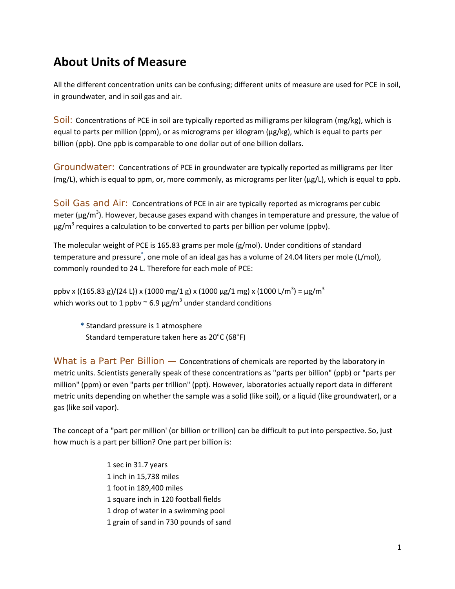## **About Units of Measure**

All the different concentration units can be confusing; different units of measure are used for PCE in soil, in groundwater, and in soil gas and air.

Soil: Concentrations of PCE in soil are typically reported as milligrams per kilogram (mg/kg), which is equal to parts per million (ppm), or as micrograms per kilogram (µg/kg), which is equal to parts per billion (ppb). One ppb is comparable to one dollar out of one billion dollars.

Groundwater: Concentrations of PCE in groundwater are typically reported as milligrams per liter  $(mg/L)$ , which is equal to ppm, or, more commonly, as micrograms per liter  $(\mu g/L)$ , which is equal to ppb.

Soil Gas and Air: Concentrations of PCE in air are typically reported as micrograms per cubic meter ( $\mu$ g/m<sup>3</sup>). However, because gases expand with changes in temperature and pressure, the value of  $\mu$ g/m<sup>3</sup> requires a calculation to be converted to parts per billion per volume (ppbv).

The molecular weight of PCE is 165.83 grams per mole (g/mol). Under conditions of standard temperature and pressure**\*** , one mole of an ideal gas has a volume of 24.04 liters per mole (L/mol), commonly rounded to 24 L. Therefore for each mole of PCE:

ppbv x ((165.83 g)/(24 L)) x (1000 mg/1 g) x (1000 μg/1 mg) x (1000 L/m<sup>3</sup>) = μg/m<sup>3</sup> which works out to 1 ppbv  $\sim$  6.9  $\mu$ g/m<sup>3</sup> under standard conditions

**\*** Standard pressure is 1 atmosphere Standard temperature taken here as  $20^{\circ}$ C (68 $^{\circ}$ F)

What is a Part Per Billion — Concentrations of chemicals are reported by the laboratory in metric units. Scientists generally speak of these concentrations as "parts per billion" (ppb) or "parts per million" (ppm) or even "parts per trillion" (ppt). However, laboratories actually report data in different metric units depending on whether the sample was a solid (like soil), or a liquid (like groundwater), or a gas (like soil vapor).

The concept of a "part per million' (or billion or trillion) can be difficult to put into perspective. So, just how much is a part per billion? One part per billion is:

> 1 sec in 31.7 years 1 inch in 15,738 miles 1 foot in 189,400 miles 1 square inch in 120 football fields 1 drop of water in a swimming pool 1 grain of sand in 730 pounds of sand